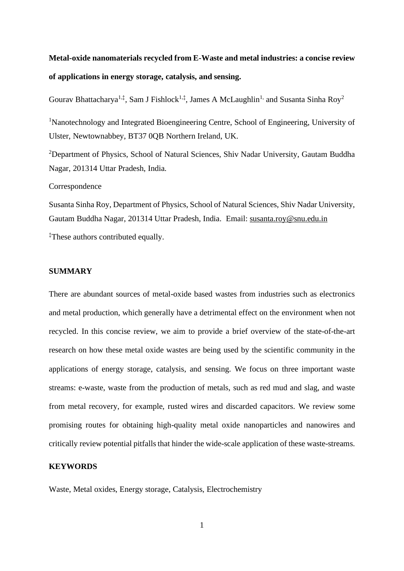# **Metal-oxide nanomaterials recycled from E-Waste and metal industries: a concise review of applications in energy storage, catalysis, and sensing.**

Gourav Bhattacharya<sup>1,‡</sup>, Sam J Fishlock<sup>1,‡</sup>, James A McLaughlin<sup>1,</sup> and Susanta Sinha Roy<sup>2</sup>

<sup>1</sup>Nanotechnology and Integrated Bioengineering Centre, School of Engineering, University of Ulster, Newtownabbey, BT37 0QB Northern Ireland, UK.

<sup>2</sup>Department of Physics, School of Natural Sciences, Shiv Nadar University, Gautam Buddha Nagar, 201314 Uttar Pradesh, India.

Correspondence

Susanta Sinha Roy, Department of Physics, School of Natural Sciences, Shiv Nadar University, Gautam Buddha Nagar, 201314 Uttar Pradesh, India. Email: [susanta.roy@snu.edu.in](mailto:susanta.roy@snu.edu.in)

‡These authors contributed equally.

# **SUMMARY**

There are abundant sources of metal-oxide based wastes from industries such as electronics and metal production, which generally have a detrimental effect on the environment when not recycled. In this concise review, we aim to provide a brief overview of the state-of-the-art research on how these metal oxide wastes are being used by the scientific community in the applications of energy storage, catalysis, and sensing. We focus on three important waste streams: e-waste, waste from the production of metals, such as red mud and slag, and waste from metal recovery, for example, rusted wires and discarded capacitors. We review some promising routes for obtaining high-quality metal oxide nanoparticles and nanowires and critically review potential pitfalls that hinder the wide-scale application of these waste-streams.

# **KEYWORDS**

Waste, Metal oxides, Energy storage, Catalysis, Electrochemistry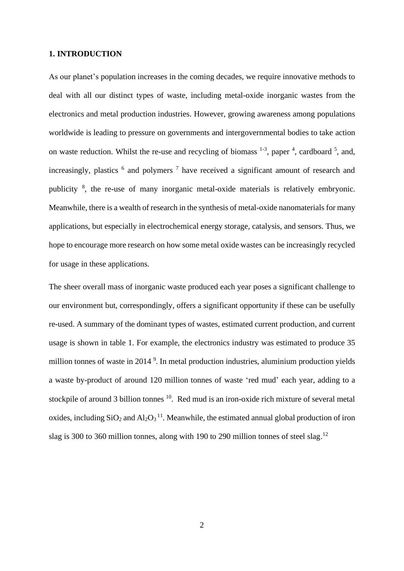### **1. INTRODUCTION**

As our planet's population increases in the coming decades, we require innovative methods to deal with all our distinct types of waste, including metal-oxide inorganic wastes from the electronics and metal production industries. However, growing awareness among populations worldwide is leading to pressure on governments and intergovernmental bodies to take action on waste reduction. Whilst the re-use and recycling of biomass  $1-3$ , paper  $4$ , cardboard  $5$ , and, increasingly, plastics  $6$  and polymers  $7$  have received a significant amount of research and publicity <sup>8</sup>, the re-use of many inorganic metal-oxide materials is relatively embryonic. Meanwhile, there is a wealth of research in the synthesis of metal-oxide nanomaterials for many applications, but especially in electrochemical energy storage, catalysis, and sensors. Thus, we hope to encourage more research on how some metal oxide wastes can be increasingly recycled for usage in these applications.

The sheer overall mass of inorganic waste produced each year poses a significant challenge to our environment but, correspondingly, offers a significant opportunity if these can be usefully re-used. A summary of the dominant types of wastes, estimated current production, and current usage is shown in table 1. For example, the electronics industry was estimated to produce 35 million tonnes of waste in 2014<sup>9</sup>. In metal production industries, aluminium production yields a waste by-product of around 120 million tonnes of waste 'red mud' each year, adding to a stockpile of around 3 billion tonnes <sup>10</sup>. Red mud is an iron-oxide rich mixture of several metal oxides, including  $SiO_2$  and  $Al_2O_3$ <sup>11</sup>. Meanwhile, the estimated annual global production of iron slag is 300 to 360 million tonnes, along with 190 to 290 million tonnes of steel slag.<sup>12</sup>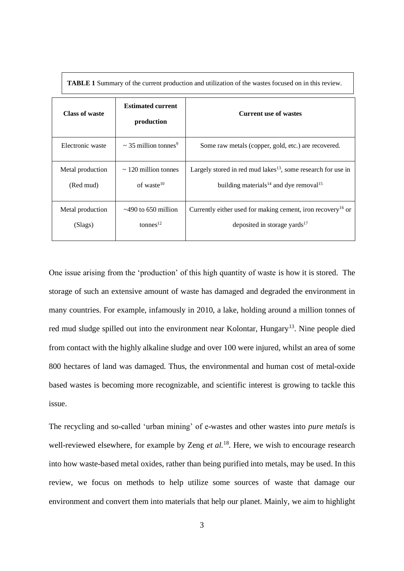| Class of waste                | <b>Estimated current</b><br>production               | <b>Current use of wastes</b>                                                                                                               |  |  |
|-------------------------------|------------------------------------------------------|--------------------------------------------------------------------------------------------------------------------------------------------|--|--|
| Electronic waste              | $\sim$ 35 million tonnes <sup>9</sup>                | Some raw metals (copper, gold, etc.) are recovered.                                                                                        |  |  |
| Metal production<br>(Red mud) | $\sim$ 120 million tonnes<br>of waste $10$           | Largely stored in red mud lakes <sup>13</sup> , some research for use in<br>building materials <sup>14</sup> and dye removal <sup>15</sup> |  |  |
| Metal production<br>(Slags)   | $\approx$ 490 to 650 million<br>tonnes <sup>12</sup> | Currently either used for making cement, iron recovery <sup>16</sup> or<br>deposited in storage yards $17$                                 |  |  |

**TABLE 1** Summary of the current production and utilization of the wastes focused on in this review.

One issue arising from the 'production' of this high quantity of waste is how it is stored. The storage of such an extensive amount of waste has damaged and degraded the environment in many countries. For example, infamously in 2010, a lake, holding around a million tonnes of red mud sludge spilled out into the environment near Kolontar, Hungary<sup>13</sup>. Nine people died from contact with the highly alkaline sludge and over 100 were injured, whilst an area of some 800 hectares of land was damaged. Thus, the environmental and human cost of metal-oxide based wastes is becoming more recognizable, and scientific interest is growing to tackle this issue.

The recycling and so-called 'urban mining' of e-wastes and other wastes into *pure metals* is well-reviewed elsewhere, for example by Zeng *et al.*<sup>18</sup>. Here, we wish to encourage research into how waste-based metal oxides, rather than being purified into metals, may be used. In this review, we focus on methods to help utilize some sources of waste that damage our environment and convert them into materials that help our planet. Mainly, we aim to highlight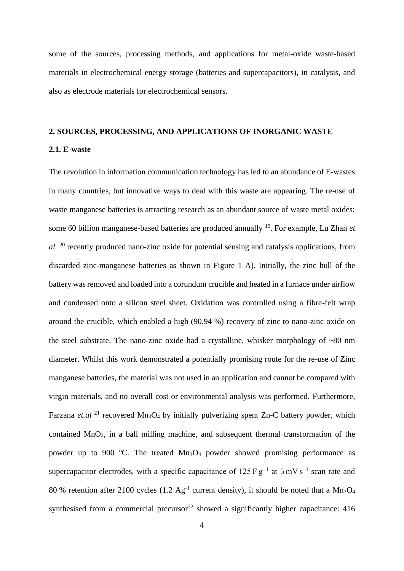some of the sources, processing methods, and applications for metal-oxide waste-based materials in electrochemical energy storage (batteries and supercapacitors), in catalysis, and also as electrode materials for electrochemical sensors.

# **2. SOURCES, PROCESSING, AND APPLICATIONS OF INORGANIC WASTE 2.1. E-waste**

The revolution in information communication technology has led to an abundance of E-wastes in many countries, but innovative ways to deal with this waste are appearing. The re-use of waste manganese batteries is attracting research as an abundant source of waste metal oxides: some 60 billion manganese-based batteries are produced annually <sup>19</sup>. For example, Lu Zhan *et al.* <sup>20</sup> recently produced nano-zinc oxide for potential sensing and catalysis applications, from discarded zinc-manganese batteries as shown in Figure 1 A). Initially, the zinc hull of the battery was removed and loaded into a corundum crucible and heated in a furnace under airflow and condensed onto a silicon steel sheet. Oxidation was controlled using a fibre-felt wrap around the crucible, which enabled a high (90.94 %) recovery of zinc to nano-zinc oxide on the steel substrate. The nano-zinc oxide had a crystalline, whisker morphology of  $\sim 80$  nm diameter. Whilst this work demonstrated a potentially promising route for the re-use of Zinc manganese batteries, the material was not used in an application and cannot be compared with virgin materials, and no overall cost or environmental analysis was performed. Furthermore, Farzana et.al<sup>21</sup> recovered Mn<sub>3</sub>O<sub>4</sub> by initially pulverizing spent Zn-C battery powder, which contained MnO2, in a ball milling machine, and subsequent thermal transformation of the powder up to 900 °C. The treated  $Mn_3O_4$  powder showed promising performance as supercapacitor electrodes, with a specific capacitance of 125 F  $g^{-1}$  at 5 mV s<sup>-1</sup> scan rate and 80 % retention after 2100 cycles (1.2  $Ag^{-1}$  current density), it should be noted that a Mn<sub>3</sub>O<sub>4</sub> synthesised from a commercial precursor<sup>22</sup> showed a significantly higher capacitance:  $416$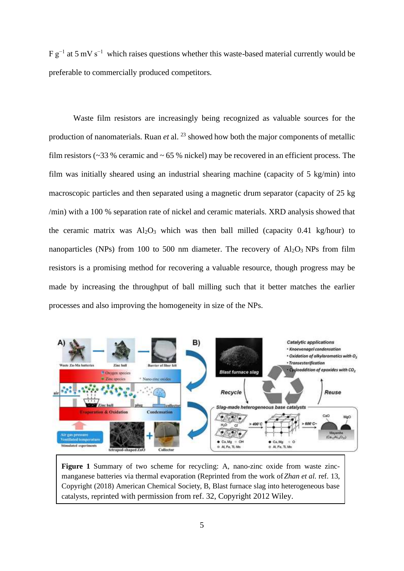F g−1 at 5 mV s−1 which raises questions whether this waste-based material currently would be preferable to commercially produced competitors.

Waste film resistors are increasingly being recognized as valuable sources for the production of nanomaterials. Ruan *et* al. <sup>23</sup> showed how both the major components of metallic film resistors ( $\sim$ 33 % ceramic and  $\sim$  65 % nickel) may be recovered in an efficient process. The film was initially sheared using an industrial shearing machine (capacity of 5 kg/min) into macroscopic particles and then separated using a magnetic drum separator (capacity of 25 kg /min) with a 100 % separation rate of nickel and ceramic materials. XRD analysis showed that the ceramic matrix was  $Al_2O_3$  which was then ball milled (capacity 0.41 kg/hour) to nanoparticles (NPs) from 100 to 500 nm diameter. The recovery of  $Al_2O_3$  NPs from film resistors is a promising method for recovering a valuable resource, though progress may be made by increasing the throughput of ball milling such that it better matches the earlier processes and also improving the homogeneity in size of the NPs.



**Figure 1** Summary of two scheme for recycling: A, nano-zinc oxide from waste zincmanganese batteries via thermal evaporation (Reprinted from the work of *Zhan et al.* ref. 13, Copyright (2018) American Chemical Society, B, Blast furnace slag into heterogeneous base catalysts, reprinted with permission from ref. 32, Copyright 2012 Wiley.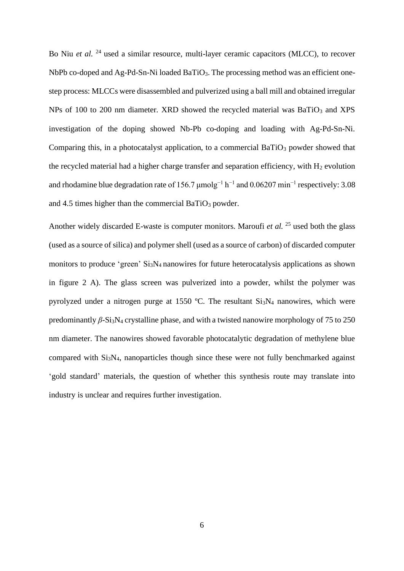Bo Niu *et al.* <sup>24</sup> used a similar resource, multi-layer ceramic capacitors (MLCC), to recover NbPb co-doped and Ag-Pd-Sn-Ni loaded BaTiO<sub>3</sub>. The processing method was an efficient onestep process: MLCCs were disassembled and pulverized using a ball mill and obtained irregular NPs of 100 to 200 nm diameter. XRD showed the recycled material was  $BaTiO<sub>3</sub>$  and XPS investigation of the doping showed Nb-Pb co-doping and loading with Ag-Pd-Sn-Ni. Comparing this, in a photocatalyst application, to a commercial  $BaTiO<sub>3</sub>$  powder showed that the recycled material had a higher charge transfer and separation efficiency, with  $H_2$  evolution and rhodamine blue degradation rate of 156.7  $\mu$ molg<sup>-1</sup> h<sup>-1</sup> and 0.06207 min<sup>-1</sup> respectively: 3.08 and 4.5 times higher than the commercial BaTi $O_3$  powder.

Another widely discarded E-waste is computer monitors. Maroufi *et al.* <sup>25</sup> used both the glass (used as a source of silica) and polymer shell (used as a source of carbon) of discarded computer monitors to produce 'green' Si<sub>3</sub>N<sub>4</sub> nanowires for future heterocatalysis applications as shown in figure 2 A). The glass screen was pulverized into a powder, whilst the polymer was pyrolyzed under a nitrogen purge at 1550  $^{\circ}$ C. The resultant Si<sub>3</sub>N<sub>4</sub> nanowires, which were predominantly *β-*Si3N<sup>4</sup> crystalline phase, and with a twisted nanowire morphology of 75 to 250 nm diameter. The nanowires showed favorable photocatalytic degradation of methylene blue compared with Si3N4, nanoparticles though since these were not fully benchmarked against 'gold standard' materials, the question of whether this synthesis route may translate into industry is unclear and requires further investigation.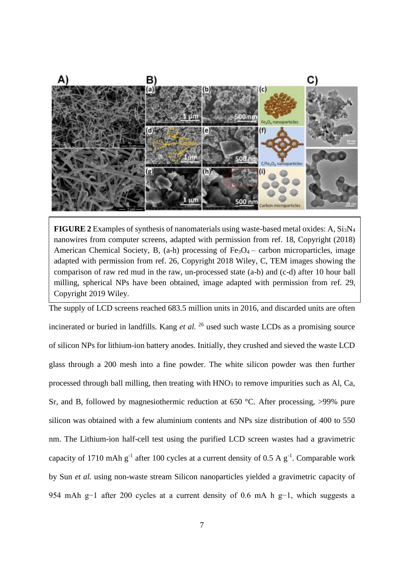

**FIGURE 2** Examples of synthesis of nanomaterials using waste-based metal oxides: A, Si3N<sup>4</sup> nanowires from computer screens, adapted with permission from ref. 18, Copyright (2018) American Chemical Society, B,  $(a-h)$  processing of Fe<sub>3</sub>O<sub>4</sub> – carbon microparticles, image adapted with permission from ref. 26, Copyright 2018 Wiley, C, TEM images showing the comparison of raw red mud in the raw, un-processed state (a-b) and (c-d) after 10 hour ball milling, spherical NPs have been obtained, image adapted with permission from ref. 29, Copyright 2019 Wiley.

The supply of LCD screens reached 683.5 million units in 2016, and discarded units are often incinerated or buried in landfills. Kang *et al*. <sup>26</sup> used such waste LCDs as a promising source of silicon NPs for lithium-ion battery anodes. Initially, they crushed and sieved the waste LCD glass through a 200 mesh into a fine powder. The white silicon powder was then further processed through ball milling, then treating with  $HNO<sub>3</sub>$  to remove impurities such as Al, Ca, Sr, and B, followed by magnesiothermic reduction at 650  $\degree$ C. After processing, >99% pure silicon was obtained with a few aluminium contents and NPs size distribution of 400 to 550 nm. The Lithium-ion half-cell test using the purified LCD screen wastes had a gravimetric capacity of 1710 mAh  $g^{-1}$  after 100 cycles at a current density of 0.5 A  $g^{-1}$ . Comparable work by Sun *et al.* using non-waste stream Silicon nanoparticles yielded a gravimetric capacity of 954 mAh g−1 after 200 cycles at a current density of 0.6 mA h g−1, which suggests a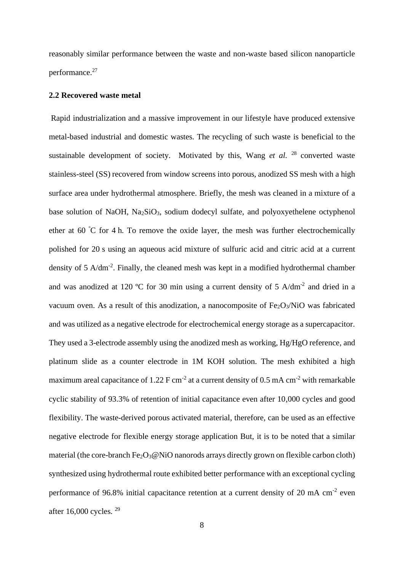reasonably similar performance between the waste and non-waste based silicon nanoparticle performance. 27

# **2.2 Recovered waste metal**

Rapid industrialization and a massive improvement in our lifestyle have produced extensive metal-based industrial and domestic wastes. The recycling of such waste is beneficial to the sustainable development of society. Motivated by this, Wang et al.<sup>28</sup> converted waste stainless-steel (SS) recovered from window screens into porous, anodized SS mesh with a high surface area under hydrothermal atmosphere. Briefly, the mesh was cleaned in a mixture of a base solution of NaOH,  $Na<sub>2</sub>SiO<sub>3</sub>$ , sodium dodecyl sulfate, and polyoxyethelene octyphenol ether at 60 <sup>º</sup>C for 4 h. To remove the oxide layer, the mesh was further electrochemically polished for 20 s using an aqueous acid mixture of sulfuric acid and citric acid at a current density of 5 A/dm<sup>-2</sup>. Finally, the cleaned mesh was kept in a modified hydrothermal chamber and was anodized at 120 °C for 30 min using a current density of 5 A/dm<sup>-2</sup> and dried in a vacuum oven. As a result of this anodization, a nanocomposite of Fe<sub>2</sub>O<sub>3</sub>/NiO was fabricated and was utilized as a negative electrode for electrochemical energy storage as a supercapacitor. They used a 3-electrode assembly using the anodized mesh as working, Hg/HgO reference, and platinum slide as a counter electrode in 1M KOH solution. The mesh exhibited a high maximum areal capacitance of 1.22 F cm<sup>-2</sup> at a current density of 0.5 mA cm<sup>-2</sup> with remarkable cyclic stability of 93.3% of retention of initial capacitance even after 10,000 cycles and good flexibility. The waste-derived porous activated material, therefore, can be used as an effective negative electrode for flexible energy storage application But, it is to be noted that a similar material (the core-branch  $Fe<sub>2</sub>O<sub>3</sub>@NiO$  nanorods arrays directly grown on flexible carbon cloth) synthesized using hydrothermal route exhibited better performance with an exceptional cycling performance of 96.8% initial capacitance retention at a current density of 20 mA cm<sup>-2</sup> even after 16,000 cycles. 29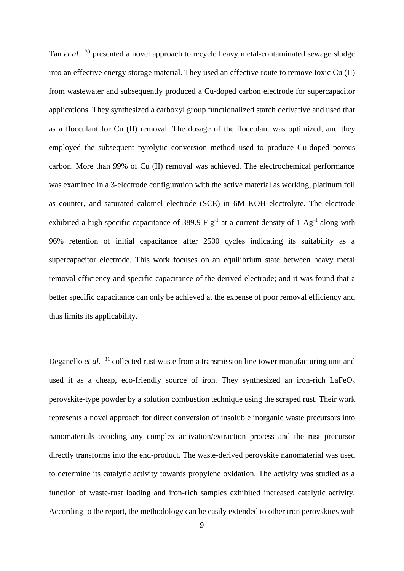Tan *et al.* <sup>30</sup> presented a novel approach to recycle heavy metal-contaminated sewage sludge into an effective energy storage material. They used an effective route to remove toxic Cu (II) from wastewater and subsequently produced a Cu-doped carbon electrode for supercapacitor applications. They synthesized a carboxyl group functionalized starch derivative and used that as a flocculant for Cu (II) removal. The dosage of the flocculant was optimized, and they employed the subsequent pyrolytic conversion method used to produce Cu-doped porous carbon. More than 99% of Cu (II) removal was achieved. The electrochemical performance was examined in a 3-electrode configuration with the active material as working, platinum foil as counter, and saturated calomel electrode (SCE) in 6M KOH electrolyte. The electrode exhibited a high specific capacitance of 389.9 F  $g^{-1}$  at a current density of 1 Ag<sup>-1</sup> along with 96% retention of initial capacitance after 2500 cycles indicating its suitability as a supercapacitor electrode. This work focuses on an equilibrium state between heavy metal removal efficiency and specific capacitance of the derived electrode; and it was found that a better specific capacitance can only be achieved at the expense of poor removal efficiency and thus limits its applicability.

Deganello *et al.* <sup>31</sup> collected rust waste from a transmission line tower manufacturing unit and used it as a cheap, eco-friendly source of iron. They synthesized an iron-rich  $LaFeO<sub>3</sub>$ perovskite-type powder by a solution combustion technique using the scraped rust. Their work represents a novel approach for direct conversion of insoluble inorganic waste precursors into nanomaterials avoiding any complex activation/extraction process and the rust precursor directly transforms into the end-product. The waste-derived perovskite nanomaterial was used to determine its catalytic activity towards propylene oxidation. The activity was studied as a function of waste-rust loading and iron-rich samples exhibited increased catalytic activity. According to the report, the methodology can be easily extended to other iron perovskites with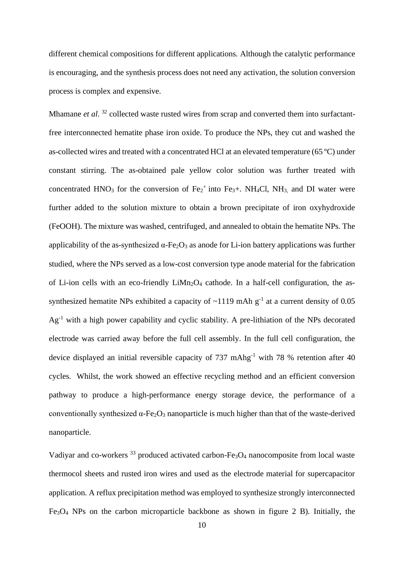different chemical compositions for different applications. Although the catalytic performance is encouraging, and the synthesis process does not need any activation, the solution conversion process is complex and expensive.

Mhamane *et al.* <sup>32</sup> collected waste rusted wires from scrap and converted them into surfactantfree interconnected hematite phase iron oxide. To produce the NPs, they cut and washed the as-collected wires and treated with a concentrated HCl at an elevated temperature (65 ºC) under constant stirring. The as-obtained pale yellow color solution was further treated with concentrated HNO<sub>3</sub> for the conversion of Fe<sub>2</sub><sup>+</sup> into Fe<sub>3</sub>+. NH<sub>4</sub>Cl, NH<sub>3</sub>, and DI water were further added to the solution mixture to obtain a brown precipitate of iron oxyhydroxide (FeOOH). The mixture was washed, centrifuged, and annealed to obtain the hematite NPs. The applicability of the as-synthesized  $\alpha$ -Fe<sub>2</sub>O<sub>3</sub> as anode for Li-ion battery applications was further studied, where the NPs served as a low-cost conversion type anode material for the fabrication of Li-ion cells with an eco-friendly  $LiMn<sub>2</sub>O<sub>4</sub>$  cathode. In a half-cell configuration, the assynthesized hematite NPs exhibited a capacity of  $\sim$ 1119 mAh g<sup>-1</sup> at a current density of 0.05 Ag-1 with a high power capability and cyclic stability. A pre-lithiation of the NPs decorated electrode was carried away before the full cell assembly. In the full cell configuration, the device displayed an initial reversible capacity of  $737 \text{ m} \text{A} \text{h} \text{g}^{-1}$  with 78 % retention after 40 cycles. Whilst, the work showed an effective recycling method and an efficient conversion pathway to produce a high-performance energy storage device, the performance of a conventionally synthesized  $\alpha$ -Fe<sub>2</sub>O<sub>3</sub> nanoparticle is much higher than that of the waste-derived nanoparticle.

Vadiyar and co-workers <sup>33</sup> produced activated carbon-Fe<sub>3</sub>O<sub>4</sub> nanocomposite from local waste thermocol sheets and rusted iron wires and used as the electrode material for supercapacitor application. A reflux precipitation method was employed to synthesize strongly interconnected Fe3O<sup>4</sup> NPs on the carbon microparticle backbone as shown in figure 2 B). Initially, the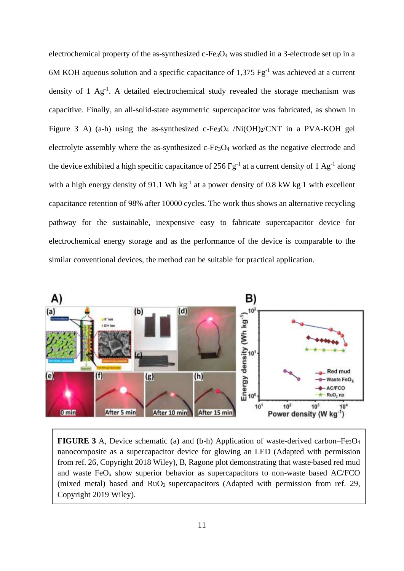electrochemical property of the as-synthesized  $c$ -Fe<sub>3</sub>O<sub>4</sub> was studied in a 3-electrode set up in a 6M KOH aqueous solution and a specific capacitance of 1,375  $Fg^{-1}$  was achieved at a current density of 1  $\text{Ag}^{-1}$ . A detailed electrochemical study revealed the storage mechanism was capacitive. Finally, an all-solid-state asymmetric supercapacitor was fabricated, as shown in Figure 3 A) (a-h) using the as-synthesized c-Fe<sub>3</sub>O<sub>4</sub> /Ni(OH)<sub>2</sub>/CNT in a PVA-KOH gel electrolyte assembly where the as-synthesized c-Fe<sub>3</sub>O<sub>4</sub> worked as the negative electrode and the device exhibited a high specific capacitance of 256  $\text{Fg}^{-1}$  at a current density of 1 Ag<sup>-1</sup> along with a high energy density of 91.1 Wh  $kg^{-1}$  at a power density of 0.8 kW kg 1 with excellent capacitance retention of 98% after 10000 cycles. The work thus shows an alternative recycling pathway for the sustainable, inexpensive easy to fabricate supercapacitor device for electrochemical energy storage and as the performance of the device is comparable to the similar conventional devices, the method can be suitable for practical application.



**FIGURE 3** A, Device schematic (a) and (b-h) Application of waste-derived carbon–Fe<sub>3</sub>O<sub>4</sub> nanocomposite as a supercapacitor device for glowing an LED (Adapted with permission from ref. 26, Copyright 2018 Wiley), B, Ragone plot demonstrating that waste-based red mud and waste  $FeO<sub>x</sub>$  show superior behavior as supercapacitors to non-waste based AC/FCO (mixed metal) based and  $RuO<sub>2</sub>$  supercapacitors (Adapted with permission from ref. 29, Copyright 2019 Wiley).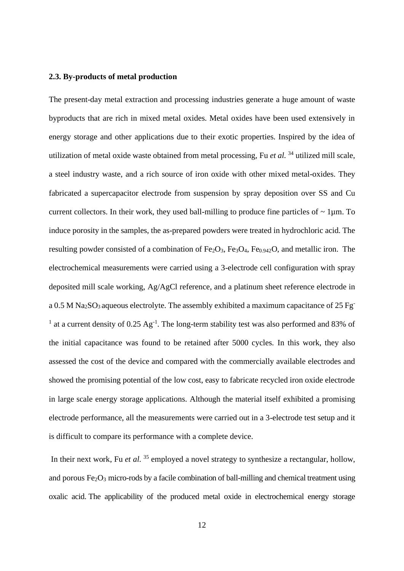#### **2.3. By-products of metal production**

The present-day metal extraction and processing industries generate a huge amount of waste byproducts that are rich in mixed metal oxides. Metal oxides have been used extensively in energy storage and other applications due to their exotic properties. Inspired by the idea of utilization of metal oxide waste obtained from metal processing, Fu *et al.* <sup>34</sup> utilized mill scale, a steel industry waste, and a rich source of iron oxide with other mixed metal-oxides. They fabricated a supercapacitor electrode from suspension by spray deposition over SS and Cu current collectors. In their work, they used ball-milling to produce fine particles of  $\sim 1 \mu$ m. To induce porosity in the samples, the as-prepared powders were treated in hydrochloric acid. The resulting powder consisted of a combination of  $Fe<sub>2</sub>O<sub>3</sub>$ ,  $Fe<sub>3</sub>O<sub>4</sub>$ ,  $Fe<sub>0.942</sub>O$ , and metallic iron. The electrochemical measurements were carried using a 3-electrode cell configuration with spray deposited mill scale working, Ag/AgCl reference, and a platinum sheet reference electrode in a 0.5 M Na<sub>2</sub>SO<sub>3</sub> aqueous electrolyte. The assembly exhibited a maximum capacitance of 25 Fg<sup>-</sup> <sup>1</sup> at a current density of  $0.25$  Ag<sup>-1</sup>. The long-term stability test was also performed and 83% of the initial capacitance was found to be retained after 5000 cycles. In this work, they also assessed the cost of the device and compared with the commercially available electrodes and showed the promising potential of the low cost, easy to fabricate recycled iron oxide electrode in large scale energy storage applications. Although the material itself exhibited a promising electrode performance, all the measurements were carried out in a 3-electrode test setup and it is difficult to compare its performance with a complete device.

In their next work, Fu *et al*. <sup>35</sup> employed a novel strategy to synthesize a rectangular, hollow, and porous Fe<sub>2</sub>O<sub>3</sub> micro-rods by a facile combination of ball-milling and chemical treatment using oxalic acid. The applicability of the produced metal oxide in electrochemical energy storage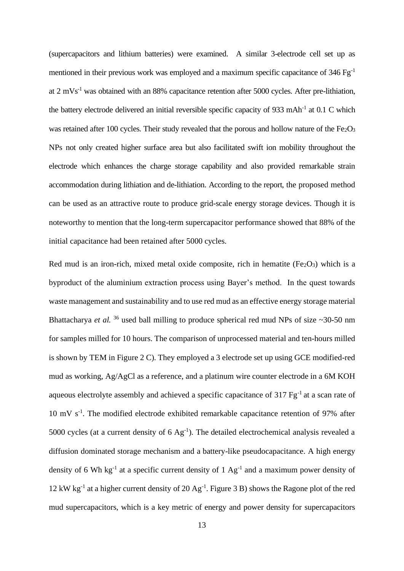(supercapacitors and lithium batteries) were examined. A similar 3-electrode cell set up as mentioned in their previous work was employed and a maximum specific capacitance of  $346 \text{ Fg}^{-1}$ at  $2 \text{ mVs}^{-1}$  was obtained with an 88% capacitance retention after 5000 cycles. After pre-lithiation, the battery electrode delivered an initial reversible specific capacity of 933 mAh<sup>-1</sup> at 0.1 C which was retained after 100 cycles. Their study revealed that the porous and hollow nature of the  $Fe<sub>2</sub>O<sub>3</sub>$ NPs not only created higher surface area but also facilitated swift ion mobility throughout the electrode which enhances the charge storage capability and also provided remarkable strain accommodation during lithiation and de-lithiation. According to the report, the proposed method can be used as an attractive route to produce grid-scale energy storage devices. Though it is noteworthy to mention that the long-term supercapacitor performance showed that 88% of the initial capacitance had been retained after 5000 cycles.

Red mud is an iron-rich, mixed metal oxide composite, rich in hematite  $(Fe<sub>2</sub>O<sub>3</sub>)$  which is a byproduct of the aluminium extraction process using Bayer's method. In the quest towards waste management and sustainability and to use red mud as an effective energy storage material Bhattacharya *et al.* <sup>36</sup> used ball milling to produce spherical red mud NPs of size  $\sim$  30-50 nm for samples milled for 10 hours. The comparison of unprocessed material and ten-hours milled is shown by TEM in Figure 2 C). They employed a 3 electrode set up using GCE modified-red mud as working, Ag/AgCl as a reference, and a platinum wire counter electrode in a 6M KOH aqueous electrolyte assembly and achieved a specific capacitance of 317 Fg<sup>-1</sup> at a scan rate of 10 mV s<sup>-1</sup>. The modified electrode exhibited remarkable capacitance retention of 97% after 5000 cycles (at a current density of  $6 \text{ Ag}^{-1}$ ). The detailed electrochemical analysis revealed a diffusion dominated storage mechanism and a battery-like pseudocapacitance. A high energy density of 6 Wh kg<sup>-1</sup> at a specific current density of 1  $Ag^{-1}$  and a maximum power density of 12 kW kg-1 at a higher current density of 20 Ag-1 . Figure 3 B) shows the Ragone plot of the red mud supercapacitors, which is a key metric of energy and power density for supercapacitors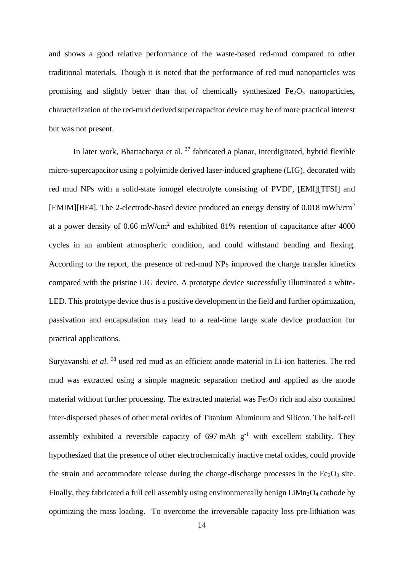and shows a good relative performance of the waste-based red-mud compared to other traditional materials. Though it is noted that the performance of red mud nanoparticles was promising and slightly better than that of chemically synthesized  $Fe<sub>2</sub>O<sub>3</sub>$  nanoparticles, characterization of the red-mud derived supercapacitor device may be of more practical interest but was not present.

In later work, Bhattacharya et al.  $37$  fabricated a planar, interdigitated, hybrid flexible micro-supercapacitor using a polyimide derived laser-induced graphene (LIG), decorated with red mud NPs with a solid-state ionogel electrolyte consisting of PVDF, [EMI][TFSI] and [EMIM][BF4]. The 2-electrode-based device produced an energy density of 0.018 mWh/cm<sup>2</sup> at a power density of 0.66 mW/cm<sup>2</sup> and exhibited 81% retention of capacitance after 4000 cycles in an ambient atmospheric condition, and could withstand bending and flexing. According to the report, the presence of red-mud NPs improved the charge transfer kinetics compared with the pristine LIG device. A prototype device successfully illuminated a white-LED. This prototype device thus is a positive development in the field and further optimization, passivation and encapsulation may lead to a real-time large scale device production for practical applications.

Suryavanshi *et al.* <sup>38</sup> used red mud as an efficient anode material in Li-ion batteries. The red mud was extracted using a simple magnetic separation method and applied as the anode material without further processing. The extracted material was  $Fe<sub>2</sub>O<sub>3</sub>$  rich and also contained inter-dispersed phases of other metal oxides of Titanium Aluminum and Silicon. The half-cell assembly exhibited a reversible capacity of  $697 \text{ mA} \text{h} \text{g}^{-1}$  with excellent stability. They hypothesized that the presence of other electrochemically inactive metal oxides, could provide the strain and accommodate release during the charge-discharge processes in the  $Fe<sub>2</sub>O<sub>3</sub>$  site. Finally, they fabricated a full cell assembly using environmentally benign  $LiMn<sub>2</sub>O<sub>4</sub>$  cathode by optimizing the mass loading. To overcome the irreversible capacity loss pre-lithiation was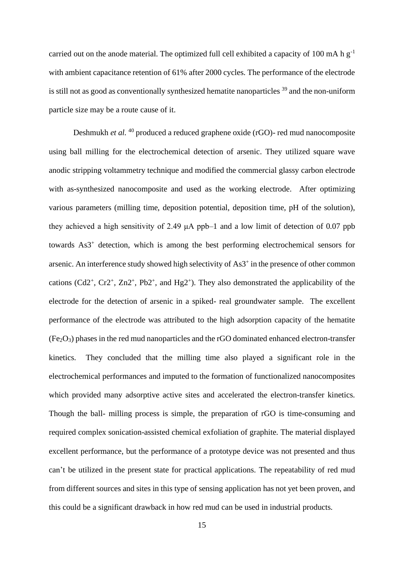carried out on the anode material. The optimized full cell exhibited a capacity of 100 mA h  $g^{-1}$ with ambient capacitance retention of 61% after 2000 cycles. The performance of the electrode is still not as good as conventionally synthesized hematite nanoparticles  $39$  and the non-uniform particle size may be a route cause of it.

Deshmukh *et al.* <sup>40</sup> produced a reduced graphene oxide (rGO)- red mud nanocomposite using ball milling for the electrochemical detection of arsenic. They utilized square wave anodic stripping voltammetry technique and modified the commercial glassy carbon electrode with as-synthesized nanocomposite and used as the working electrode. After optimizing various parameters (milling time, deposition potential, deposition time, pH of the solution), they achieved a high sensitivity of 2.49 μA ppb–1 and a low limit of detection of 0.07 ppb towards As3<sup>+</sup> detection, which is among the best performing electrochemical sensors for arsenic. An interference study showed high selectivity of As3<sup>+</sup> in the presence of other common cations  $(Cd2^+, Cr2^+, Zn2^+, Pb2^+, and Hg2^+)$ . They also demonstrated the applicability of the electrode for the detection of arsenic in a spiked- real groundwater sample. The excellent performance of the electrode was attributed to the high adsorption capacity of the hematite  $(Fe<sub>2</sub>O<sub>3</sub>)$  phases in the red mud nanoparticles and the rGO dominated enhanced electron-transfer kinetics. They concluded that the milling time also played a significant role in the electrochemical performances and imputed to the formation of functionalized nanocomposites which provided many adsorptive active sites and accelerated the electron-transfer kinetics. Though the ball- milling process is simple, the preparation of rGO is time-consuming and required complex sonication-assisted chemical exfoliation of graphite. The material displayed excellent performance, but the performance of a prototype device was not presented and thus can't be utilized in the present state for practical applications. The repeatability of red mud from different sources and sites in this type of sensing application has not yet been proven, and this could be a significant drawback in how red mud can be used in industrial products.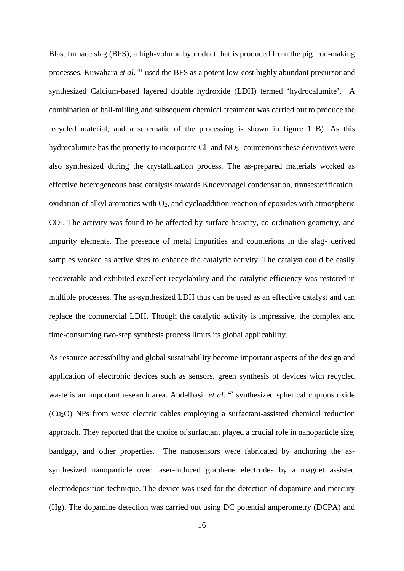Blast furnace slag (BFS), a high-volume byproduct that is produced from the pig iron-making processes. Kuwahara *et al*. <sup>41</sup> used the BFS as a potent low-cost highly abundant precursor and synthesized Calcium-based layered double hydroxide (LDH) termed 'hydrocalumite'. A combination of ball-milling and subsequent chemical treatment was carried out to produce the recycled material, and a schematic of the processing is shown in figure 1 B). As this hydrocalumite has the property to incorporate Cl- and  $NO<sub>3</sub>$ - counterions these derivatives were also synthesized during the crystallization process. The as-prepared materials worked as effective heterogeneous base catalysts towards Knoevenagel condensation, transesterification, oxidation of alkyl aromatics with  $O_2$ , and cycloaddition reaction of epoxides with atmospheric CO2. The activity was found to be affected by surface basicity, co-ordination geometry, and impurity elements. The presence of metal impurities and counterions in the slag- derived samples worked as active sites to enhance the catalytic activity. The catalyst could be easily recoverable and exhibited excellent recyclability and the catalytic efficiency was restored in multiple processes. The as-synthesized LDH thus can be used as an effective catalyst and can replace the commercial LDH. Though the catalytic activity is impressive, the complex and time-consuming two-step synthesis process limits its global applicability.

As resource accessibility and global sustainability become important aspects of the design and application of electronic devices such as sensors, green synthesis of devices with recycled waste is an important research area. Abdelbasir *et al*. <sup>42</sup> synthesized spherical cuprous oxide (Cu2O) NPs from waste electric cables employing a surfactant-assisted chemical reduction approach. They reported that the choice of surfactant played a crucial role in nanoparticle size, bandgap, and other properties. The nanosensors were fabricated by anchoring the assynthesized nanoparticle over laser-induced graphene electrodes by a magnet assisted electrodeposition technique. The device was used for the detection of dopamine and mercury (Hg). The dopamine detection was carried out using DC potential amperometry (DCPA) and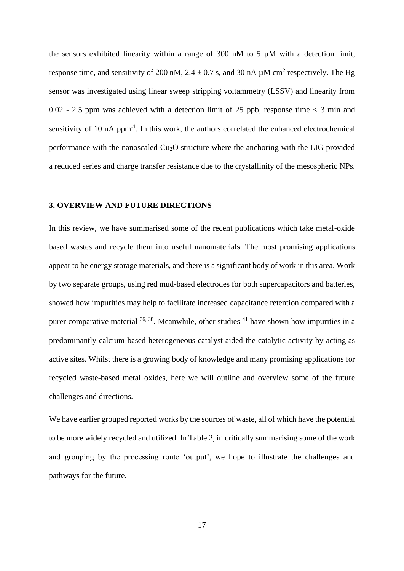the sensors exhibited linearity within a range of 300 nM to 5  $\mu$ M with a detection limit, response time, and sensitivity of 200 nM, 2.4  $\pm$  0.7 s, and 30 nA  $\mu$ M cm<sup>2</sup> respectively. The Hg sensor was investigated using linear sweep stripping voltammetry (LSSV) and linearity from 0.02 - 2.5 ppm was achieved with a detection limit of 25 ppb, response time  $\lt$  3 min and sensitivity of 10  $nA$  ppm<sup>-1</sup>. In this work, the authors correlated the enhanced electrochemical performance with the nanoscaled-Cu2O structure where the anchoring with the LIG provided a reduced series and charge transfer resistance due to the crystallinity of the mesospheric NPs.

# **3. OVERVIEW AND FUTURE DIRECTIONS**

In this review, we have summarised some of the recent publications which take metal-oxide based wastes and recycle them into useful nanomaterials. The most promising applications appear to be energy storage materials, and there is a significant body of work in this area. Work by two separate groups, using red mud-based electrodes for both supercapacitors and batteries, showed how impurities may help to facilitate increased capacitance retention compared with a purer comparative material  $36, 38$ . Meanwhile, other studies  $41$  have shown how impurities in a predominantly calcium-based heterogeneous catalyst aided the catalytic activity by acting as active sites. Whilst there is a growing body of knowledge and many promising applications for recycled waste-based metal oxides, here we will outline and overview some of the future challenges and directions.

We have earlier grouped reported works by the sources of waste, all of which have the potential to be more widely recycled and utilized. In Table 2, in critically summarising some of the work and grouping by the processing route 'output', we hope to illustrate the challenges and pathways for the future.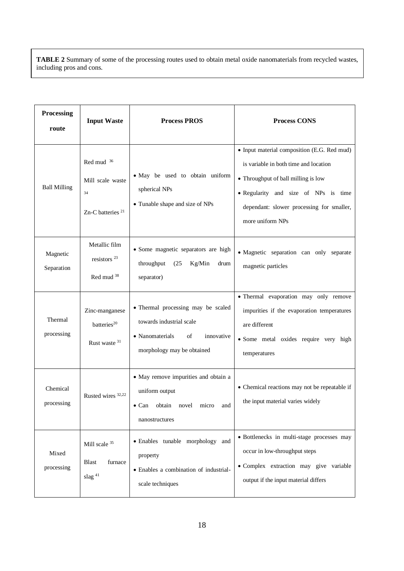**TABLE 2** Summary of some of the processing routes used to obtain metal oxide nanomaterials from recycled wastes, including pros and cons.

| Processing<br>route    | <b>Input Waste</b>                                                    | <b>Process PROS</b>                                                                                                                 | <b>Process CONS</b>                                                                                                                                                                                                                  |
|------------------------|-----------------------------------------------------------------------|-------------------------------------------------------------------------------------------------------------------------------------|--------------------------------------------------------------------------------------------------------------------------------------------------------------------------------------------------------------------------------------|
| <b>Ball Milling</b>    | Red mud 36<br>Mill scale waste<br>34<br>Zn-C batteries <sup>21</sup>  | • May be used to obtain uniform<br>spherical NPs<br>• Tunable shape and size of NPs                                                 | • Input material composition (E.G. Red mud)<br>is variable in both time and location<br>• Throughput of ball milling is low<br>• Regularity and size of NPs is time<br>dependant: slower processing for smaller,<br>more uniform NPs |
| Magnetic<br>Separation | Metallic film<br>resistors <sup>23</sup><br>Red mud <sup>38</sup>     | · Some magnetic separators are high<br>Kg/Min<br>throughput<br>(25)<br>drum<br>separator)                                           | · Magnetic separation can only separate<br>magnetic particles                                                                                                                                                                        |
| Thermal<br>processing  | Zinc-manganese<br>batteries <sup>20</sup><br>Rust waste <sup>31</sup> | • Thermal processing may be scaled<br>towards industrial scale<br>• Nanomaterials<br>of<br>innovative<br>morphology may be obtained | · Thermal evaporation may only remove<br>impurities if the evaporation temperatures<br>are different<br>· Some metal oxides require very high<br>temperatures                                                                        |
| Chemical<br>processing | Rusted wires <sup>32,22</sup>                                         | • May remove impurities and obtain a<br>uniform output<br>obtain novel<br>micro<br>$\bullet$ Can<br>and<br>nanostructures           | • Chemical reactions may not be repeatable if<br>the input material varies widely                                                                                                                                                    |
| Mixed<br>processing    | Mill scale $^{35}$<br>furnace<br><b>Blast</b><br>slag <sup>41</sup>   | • Enables tunable morphology and<br>property<br>· Enables a combination of industrial-<br>scale techniques                          | · Bottlenecks in multi-stage processes may<br>occur in low-throughput steps<br>· Complex extraction may give variable<br>output if the input material differs                                                                        |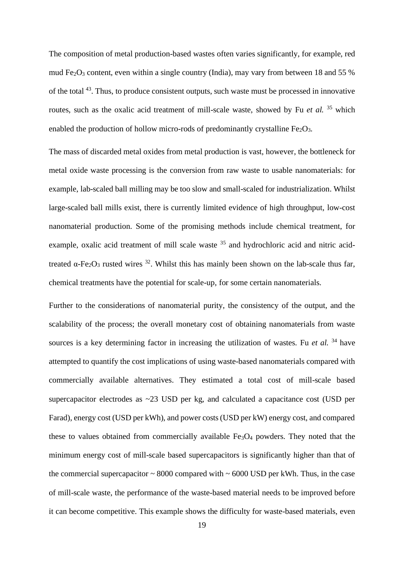The composition of metal production-based wastes often varies significantly, for example, red mud Fe<sub>2</sub>O<sub>3</sub> content, even within a single country (India), may vary from between 18 and 55 % of the total <sup>43</sup>. Thus, to produce consistent outputs, such waste must be processed in innovative routes, such as the oxalic acid treatment of mill-scale waste, showed by Fu *et al.* <sup>35</sup> which enabled the production of hollow micro-rods of predominantly crystalline  $Fe<sub>2</sub>O<sub>3</sub>$ .

The mass of discarded metal oxides from metal production is vast, however, the bottleneck for metal oxide waste processing is the conversion from raw waste to usable nanomaterials: for example, lab-scaled ball milling may be too slow and small-scaled for industrialization. Whilst large-scaled ball mills exist, there is currently limited evidence of high throughput, low-cost nanomaterial production. Some of the promising methods include chemical treatment, for example, oxalic acid treatment of mill scale waste <sup>35</sup> and hydrochloric acid and nitric acidtreated α-Fe<sub>2</sub>O<sub>3</sub> rusted wires <sup>32</sup>. Whilst this has mainly been shown on the lab-scale thus far, chemical treatments have the potential for scale-up, for some certain nanomaterials.

Further to the considerations of nanomaterial purity, the consistency of the output, and the scalability of the process; the overall monetary cost of obtaining nanomaterials from waste sources is a key determining factor in increasing the utilization of wastes. Fu *et al.* <sup>34</sup> have attempted to quantify the cost implications of using waste-based nanomaterials compared with commercially available alternatives. They estimated a total cost of mill-scale based supercapacitor electrodes as ~23 USD per kg, and calculated a capacitance cost (USD per Farad), energy cost (USD per kWh), and power costs (USD per kW) energy cost, and compared these to values obtained from commercially available  $Fe<sub>3</sub>O<sub>4</sub>$  powders. They noted that the minimum energy cost of mill-scale based supercapacitors is significantly higher than that of the commercial supercapacitor  $\sim 8000$  compared with  $\sim 6000$  USD per kWh. Thus, in the case of mill-scale waste, the performance of the waste-based material needs to be improved before it can become competitive. This example shows the difficulty for waste-based materials, even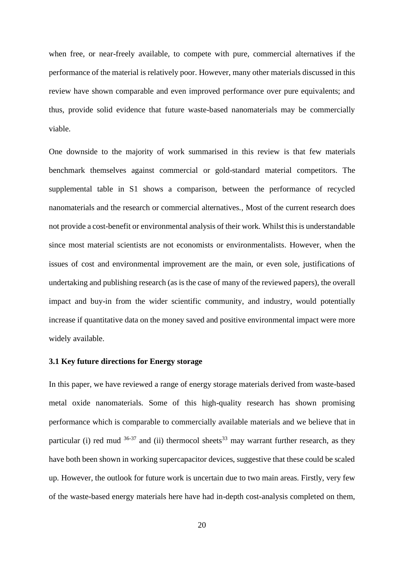when free, or near-freely available, to compete with pure, commercial alternatives if the performance of the material is relatively poor. However, many other materials discussed in this review have shown comparable and even improved performance over pure equivalents; and thus, provide solid evidence that future waste-based nanomaterials may be commercially viable.

One downside to the majority of work summarised in this review is that few materials benchmark themselves against commercial or gold-standard material competitors. The supplemental table in S1 shows a comparison, between the performance of recycled nanomaterials and the research or commercial alternatives., Most of the current research does not provide a cost-benefit or environmental analysis of their work. Whilst this is understandable since most material scientists are not economists or environmentalists. However, when the issues of cost and environmental improvement are the main, or even sole, justifications of undertaking and publishing research (as is the case of many of the reviewed papers), the overall impact and buy-in from the wider scientific community, and industry, would potentially increase if quantitative data on the money saved and positive environmental impact were more widely available.

## **3.1 Key future directions for Energy storage**

In this paper, we have reviewed a range of energy storage materials derived from waste-based metal oxide nanomaterials. Some of this high-quality research has shown promising performance which is comparable to commercially available materials and we believe that in particular (i) red mud  $36-37$  and (ii) thermocol sheets<sup>33</sup> may warrant further research, as they have both been shown in working supercapacitor devices, suggestive that these could be scaled up. However, the outlook for future work is uncertain due to two main areas. Firstly, very few of the waste-based energy materials here have had in-depth cost-analysis completed on them,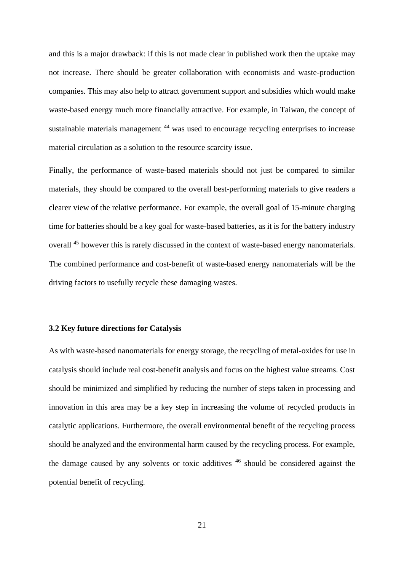and this is a major drawback: if this is not made clear in published work then the uptake may not increase. There should be greater collaboration with economists and waste-production companies. This may also help to attract government support and subsidies which would make waste-based energy much more financially attractive. For example, in Taiwan, the concept of sustainable materials management <sup>44</sup> was used to encourage recycling enterprises to increase material circulation as a solution to the resource scarcity issue.

Finally, the performance of waste-based materials should not just be compared to similar materials, they should be compared to the overall best-performing materials to give readers a clearer view of the relative performance. For example, the overall goal of 15-minute charging time for batteries should be a key goal for waste-based batteries, as it is for the battery industry overall <sup>45</sup> however this is rarely discussed in the context of waste-based energy nanomaterials. The combined performance and cost-benefit of waste-based energy nanomaterials will be the driving factors to usefully recycle these damaging wastes.

# **3.2 Key future directions for Catalysis**

As with waste-based nanomaterials for energy storage, the recycling of metal-oxides for use in catalysis should include real cost-benefit analysis and focus on the highest value streams. Cost should be minimized and simplified by reducing the number of steps taken in processing and innovation in this area may be a key step in increasing the volume of recycled products in catalytic applications. Furthermore, the overall environmental benefit of the recycling process should be analyzed and the environmental harm caused by the recycling process. For example, the damage caused by any solvents or toxic additives  $46$  should be considered against the potential benefit of recycling.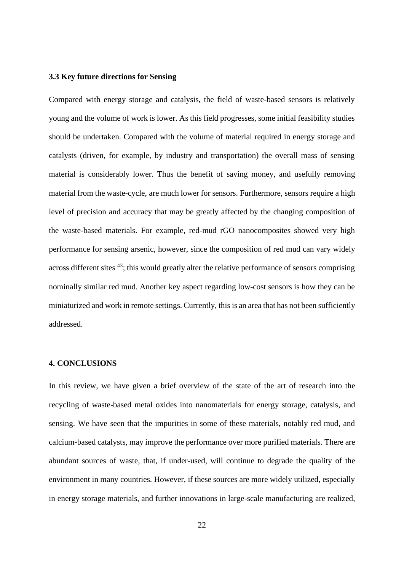### **3.3 Key future directions for Sensing**

Compared with energy storage and catalysis, the field of waste-based sensors is relatively young and the volume of work is lower. As this field progresses, some initial feasibility studies should be undertaken. Compared with the volume of material required in energy storage and catalysts (driven, for example, by industry and transportation) the overall mass of sensing material is considerably lower. Thus the benefit of saving money, and usefully removing material from the waste-cycle, are much lower for sensors. Furthermore, sensors require a high level of precision and accuracy that may be greatly affected by the changing composition of the waste-based materials. For example, red-mud rGO nanocomposites showed very high performance for sensing arsenic, however, since the composition of red mud can vary widely across different sites <sup>43</sup>; this would greatly alter the relative performance of sensors comprising nominally similar red mud. Another key aspect regarding low-cost sensors is how they can be miniaturized and work in remote settings. Currently, this is an area that has not been sufficiently addressed.

### **4. CONCLUSIONS**

In this review, we have given a brief overview of the state of the art of research into the recycling of waste-based metal oxides into nanomaterials for energy storage, catalysis, and sensing. We have seen that the impurities in some of these materials, notably red mud, and calcium-based catalysts, may improve the performance over more purified materials. There are abundant sources of waste, that, if under-used, will continue to degrade the quality of the environment in many countries. However, if these sources are more widely utilized, especially in energy storage materials, and further innovations in large-scale manufacturing are realized,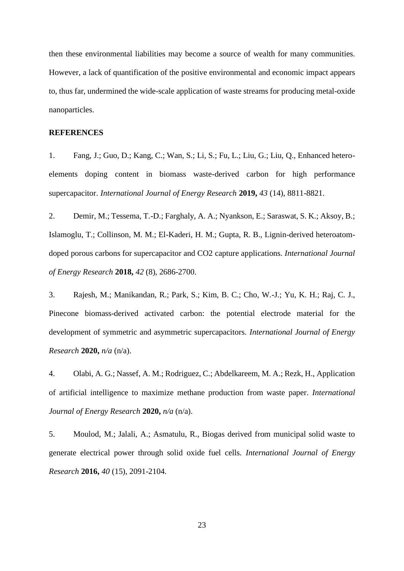then these environmental liabilities may become a source of wealth for many communities. However, a lack of quantification of the positive environmental and economic impact appears to, thus far, undermined the wide-scale application of waste streams for producing metal-oxide nanoparticles.

## **REFERENCES**

1. Fang, J.; Guo, D.; Kang, C.; Wan, S.; Li, S.; Fu, L.; Liu, G.; Liu, Q., Enhanced heteroelements doping content in biomass waste-derived carbon for high performance supercapacitor. *International Journal of Energy Research* **2019,** *43* (14), 8811-8821.

2. Demir, M.; Tessema, T.-D.; Farghaly, A. A.; Nyankson, E.; Saraswat, S. K.; Aksoy, B.; Islamoglu, T.; Collinson, M. M.; El-Kaderi, H. M.; Gupta, R. B., Lignin-derived heteroatomdoped porous carbons for supercapacitor and CO2 capture applications. *International Journal of Energy Research* **2018,** *42* (8), 2686-2700.

3. Rajesh, M.; Manikandan, R.; Park, S.; Kim, B. C.; Cho, W.-J.; Yu, K. H.; Raj, C. J., Pinecone biomass-derived activated carbon: the potential electrode material for the development of symmetric and asymmetric supercapacitors. *International Journal of Energy Research* **2020,** *n/a* (n/a).

4. Olabi, A. G.; Nassef, A. M.; Rodriguez, C.; Abdelkareem, M. A.; Rezk, H., Application of artificial intelligence to maximize methane production from waste paper. *International Journal of Energy Research* **2020,** *n/a* (n/a).

5. Moulod, M.; Jalali, A.; Asmatulu, R., Biogas derived from municipal solid waste to generate electrical power through solid oxide fuel cells. *International Journal of Energy Research* **2016,** *40* (15), 2091-2104.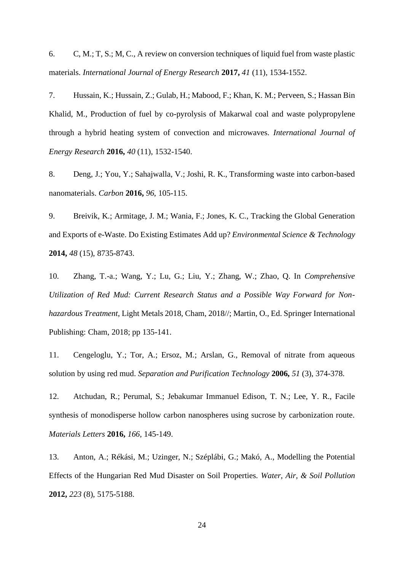6. C, M.; T, S.; M, C., A review on conversion techniques of liquid fuel from waste plastic materials. *International Journal of Energy Research* **2017,** *41* (11), 1534-1552.

7. Hussain, K.; Hussain, Z.; Gulab, H.; Mabood, F.; Khan, K. M.; Perveen, S.; Hassan Bin Khalid, M., Production of fuel by co-pyrolysis of Makarwal coal and waste polypropylene through a hybrid heating system of convection and microwaves. *International Journal of Energy Research* **2016,** *40* (11), 1532-1540.

8. Deng, J.; You, Y.; Sahajwalla, V.; Joshi, R. K., Transforming waste into carbon-based nanomaterials. *Carbon* **2016,** *96*, 105-115.

9. Breivik, K.; Armitage, J. M.; Wania, F.; Jones, K. C., Tracking the Global Generation and Exports of e-Waste. Do Existing Estimates Add up? *Environmental Science & Technology*  **2014,** *48* (15), 8735-8743.

10. Zhang, T.-a.; Wang, Y.; Lu, G.; Liu, Y.; Zhang, W.; Zhao, Q. In *Comprehensive Utilization of Red Mud: Current Research Status and a Possible Way Forward for Nonhazardous Treatment*, Light Metals 2018, Cham, 2018//; Martin, O., Ed. Springer International Publishing: Cham, 2018; pp 135-141.

11. Cengeloglu, Y.; Tor, A.; Ersoz, M.; Arslan, G., Removal of nitrate from aqueous solution by using red mud. *Separation and Purification Technology* **2006,** *51* (3), 374-378.

12. Atchudan, R.; Perumal, S.; Jebakumar Immanuel Edison, T. N.; Lee, Y. R., Facile synthesis of monodisperse hollow carbon nanospheres using sucrose by carbonization route. *Materials Letters* **2016,** *166*, 145-149.

13. Anton, A.; Rékási, M.; Uzinger, N.; Széplábi, G.; Makó, A., Modelling the Potential Effects of the Hungarian Red Mud Disaster on Soil Properties. *Water, Air, & Soil Pollution*  **2012,** *223* (8), 5175-5188.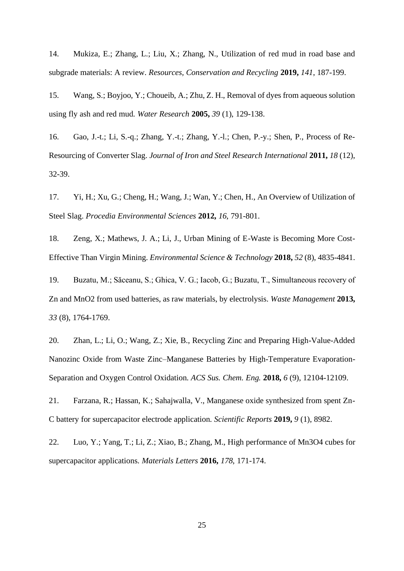14. Mukiza, E.; Zhang, L.; Liu, X.; Zhang, N., Utilization of red mud in road base and subgrade materials: A review. *Resources, Conservation and Recycling* **2019,** *141*, 187-199.

15. Wang, S.; Boyjoo, Y.; Choueib, A.; Zhu, Z. H., Removal of dyes from aqueous solution using fly ash and red mud. *Water Research* **2005,** *39* (1), 129-138.

16. Gao, J.-t.; Li, S.-q.; Zhang, Y.-t.; Zhang, Y.-l.; Chen, P.-y.; Shen, P., Process of Re-Resourcing of Converter Slag. *Journal of Iron and Steel Research International* **2011,** *18* (12), 32-39.

17. Yi, H.; Xu, G.; Cheng, H.; Wang, J.; Wan, Y.; Chen, H., An Overview of Utilization of Steel Slag. *Procedia Environmental Sciences* **2012,** *16*, 791-801.

18. Zeng, X.; Mathews, J. A.; Li, J., Urban Mining of E-Waste is Becoming More Cost-Effective Than Virgin Mining. *Environmental Science & Technology* **2018,** *52* (8), 4835-4841.

19. Buzatu, M.; Săceanu, S.; Ghica, V. G.; Iacob, G.; Buzatu, T., Simultaneous recovery of Zn and MnO2 from used batteries, as raw materials, by electrolysis. *Waste Management* **2013,** *33* (8), 1764-1769.

20. Zhan, L.; Li, O.; Wang, Z.; Xie, B., Recycling Zinc and Preparing High-Value-Added Nanozinc Oxide from Waste Zinc–Manganese Batteries by High-Temperature Evaporation-Separation and Oxygen Control Oxidation. *ACS Sus. Chem. Eng.* **2018,** *6* (9), 12104-12109.

21. Farzana, R.; Hassan, K.; Sahajwalla, V., Manganese oxide synthesized from spent Zn-C battery for supercapacitor electrode application. *Scientific Reports* **2019,** *9* (1), 8982.

22. Luo, Y.; Yang, T.; Li, Z.; Xiao, B.; Zhang, M., High performance of Mn3O4 cubes for supercapacitor applications. *Materials Letters* **2016,** *178*, 171-174.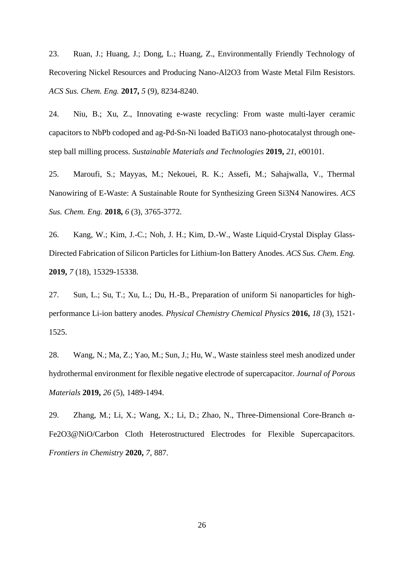23. Ruan, J.; Huang, J.; Dong, L.; Huang, Z., Environmentally Friendly Technology of Recovering Nickel Resources and Producing Nano-Al2O3 from Waste Metal Film Resistors. *ACS Sus. Chem. Eng.* **2017,** *5* (9), 8234-8240.

24. Niu, B.; Xu, Z., Innovating e-waste recycling: From waste multi-layer ceramic capacitors to NbPb codoped and ag-Pd-Sn-Ni loaded BaTiO3 nano-photocatalyst through onestep ball milling process. *Sustainable Materials and Technologies* **2019,** *21*, e00101.

25. Maroufi, S.; Mayyas, M.; Nekouei, R. K.; Assefi, M.; Sahajwalla, V., Thermal Nanowiring of E-Waste: A Sustainable Route for Synthesizing Green Si3N4 Nanowires. *ACS Sus. Chem. Eng.* **2018,** *6* (3), 3765-3772.

26. Kang, W.; Kim, J.-C.; Noh, J. H.; Kim, D.-W., Waste Liquid-Crystal Display Glass-Directed Fabrication of Silicon Particles for Lithium-Ion Battery Anodes. *ACS Sus. Chem. Eng.*  **2019,** *7* (18), 15329-15338.

27. Sun, L.; Su, T.; Xu, L.; Du, H.-B., Preparation of uniform Si nanoparticles for highperformance Li-ion battery anodes. *Physical Chemistry Chemical Physics* **2016,** *18* (3), 1521- 1525.

28. Wang, N.; Ma, Z.; Yao, M.; Sun, J.; Hu, W., Waste stainless steel mesh anodized under hydrothermal environment for flexible negative electrode of supercapacitor. *Journal of Porous Materials* **2019,** *26* (5), 1489-1494.

29. Zhang, M.; Li, X.; Wang, X.; Li, D.; Zhao, N., Three-Dimensional Core-Branch α-Fe2O3@NiO/Carbon Cloth Heterostructured Electrodes for Flexible Supercapacitors. *Frontiers in Chemistry* **2020,** *7*, 887.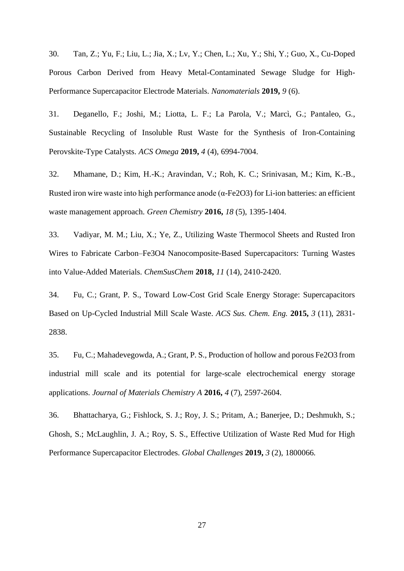30. Tan, Z.; Yu, F.; Liu, L.; Jia, X.; Lv, Y.; Chen, L.; Xu, Y.; Shi, Y.; Guo, X., Cu-Doped Porous Carbon Derived from Heavy Metal-Contaminated Sewage Sludge for High-Performance Supercapacitor Electrode Materials. *Nanomaterials* **2019,** *9* (6).

31. Deganello, F.; Joshi, M.; Liotta, L. F.; La Parola, V.; Marcì, G.; Pantaleo, G., Sustainable Recycling of Insoluble Rust Waste for the Synthesis of Iron-Containing Perovskite-Type Catalysts. *ACS Omega* **2019,** *4* (4), 6994-7004.

32. Mhamane, D.; Kim, H.-K.; Aravindan, V.; Roh, K. C.; Srinivasan, M.; Kim, K.-B., Rusted iron wire waste into high performance anode (α-Fe2O3) for Li-ion batteries: an efficient waste management approach. *Green Chemistry* **2016,** *18* (5), 1395-1404.

33. Vadiyar, M. M.; Liu, X.; Ye, Z., Utilizing Waste Thermocol Sheets and Rusted Iron Wires to Fabricate Carbon–Fe3O4 Nanocomposite-Based Supercapacitors: Turning Wastes into Value-Added Materials. *ChemSusChem* **2018,** *11* (14), 2410-2420.

34. Fu, C.; Grant, P. S., Toward Low-Cost Grid Scale Energy Storage: Supercapacitors Based on Up-Cycled Industrial Mill Scale Waste. *ACS Sus. Chem. Eng.* **2015,** *3* (11), 2831- 2838.

35. Fu, C.; Mahadevegowda, A.; Grant, P. S., Production of hollow and porous Fe2O3 from industrial mill scale and its potential for large-scale electrochemical energy storage applications. *Journal of Materials Chemistry A* **2016,** *4* (7), 2597-2604.

36. Bhattacharya, G.; Fishlock, S. J.; Roy, J. S.; Pritam, A.; Banerjee, D.; Deshmukh, S.; Ghosh, S.; McLaughlin, J. A.; Roy, S. S., Effective Utilization of Waste Red Mud for High Performance Supercapacitor Electrodes. *Global Challenges* **2019,** *3* (2), 1800066.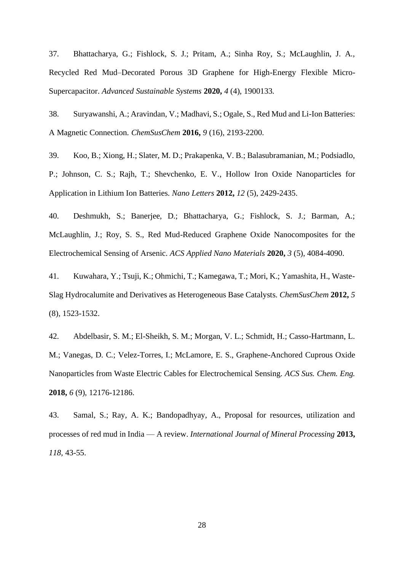37. Bhattacharya, G.; Fishlock, S. J.; Pritam, A.; Sinha Roy, S.; McLaughlin, J. A., Recycled Red Mud–Decorated Porous 3D Graphene for High-Energy Flexible Micro-Supercapacitor. *Advanced Sustainable Systems* **2020,** *4* (4), 1900133.

38. Suryawanshi, A.; Aravindan, V.; Madhavi, S.; Ogale, S., Red Mud and Li-Ion Batteries: A Magnetic Connection. *ChemSusChem* **2016,** *9* (16), 2193-2200.

39. Koo, B.; Xiong, H.; Slater, M. D.; Prakapenka, V. B.; Balasubramanian, M.; Podsiadlo, P.; Johnson, C. S.; Rajh, T.; Shevchenko, E. V., Hollow Iron Oxide Nanoparticles for Application in Lithium Ion Batteries. *Nano Letters* **2012,** *12* (5), 2429-2435.

40. Deshmukh, S.; Banerjee, D.; Bhattacharya, G.; Fishlock, S. J.; Barman, A.; McLaughlin, J.; Roy, S. S., Red Mud-Reduced Graphene Oxide Nanocomposites for the Electrochemical Sensing of Arsenic. *ACS Applied Nano Materials* **2020,** *3* (5), 4084-4090.

41. Kuwahara, Y.; Tsuji, K.; Ohmichi, T.; Kamegawa, T.; Mori, K.; Yamashita, H., Waste-Slag Hydrocalumite and Derivatives as Heterogeneous Base Catalysts. *ChemSusChem* **2012,** *5* (8), 1523-1532.

42. Abdelbasir, S. M.; El-Sheikh, S. M.; Morgan, V. L.; Schmidt, H.; Casso-Hartmann, L. M.; Vanegas, D. C.; Velez-Torres, I.; McLamore, E. S., Graphene-Anchored Cuprous Oxide Nanoparticles from Waste Electric Cables for Electrochemical Sensing. *ACS Sus. Chem. Eng.*  **2018,** *6* (9), 12176-12186.

43. Samal, S.; Ray, A. K.; Bandopadhyay, A., Proposal for resources, utilization and processes of red mud in India — A review. *International Journal of Mineral Processing* **2013,** *118*, 43-55.